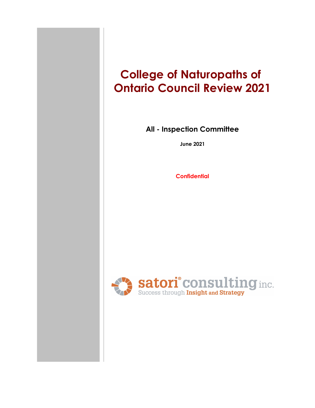# **College of Naturopaths of Ontario Council Review 2021**

### **All - Inspection Committee**

**June 2021**

**Confidential**

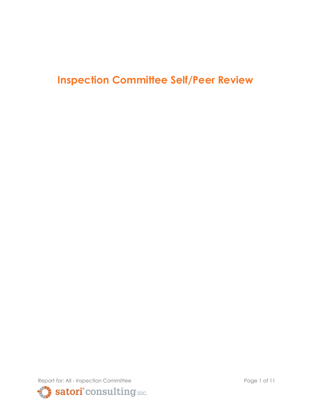# **Inspection Committee Self/Peer Review**

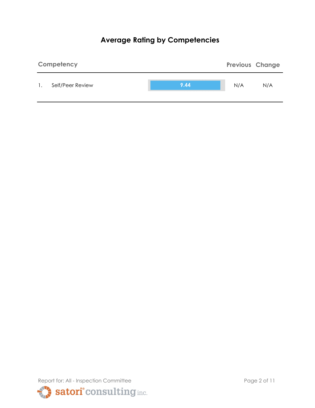# **Average Rating by Competencies**



Report for: All - Inspection Committee Page 2 of 11 satori<sup>°</sup>consulting inc.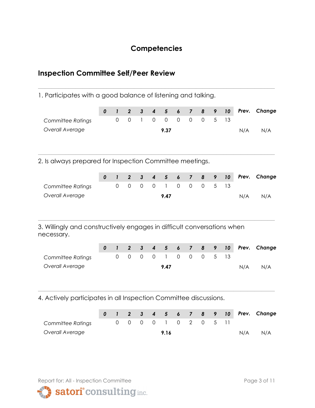## **Competencies**

**\_\_\_\_\_\_\_\_\_\_\_\_\_\_\_\_\_\_\_\_\_\_\_\_\_\_\_\_\_\_\_\_\_\_\_\_\_\_\_\_\_\_\_\_\_\_\_\_\_\_\_\_\_\_\_\_\_\_\_\_\_\_\_\_\_\_\_\_\_**

## **Inspection Committee Self/Peer Review**

1. Participates with a good balance of listening and talking.

|                                                                                       | 0 | $\mathbf{I}$ | $\overline{2}$      | $\mathbf{3}$ | $\overline{\mathbf{4}}$ | 5              | 6              | $\overline{7}$          | 8              | 9 | 10 | Prev. | Change |
|---------------------------------------------------------------------------------------|---|--------------|---------------------|--------------|-------------------------|----------------|----------------|-------------------------|----------------|---|----|-------|--------|
|                                                                                       |   |              |                     |              | $\overline{0}$          |                | $\overline{0}$ | $\overline{0}$          |                | 5 | 13 |       |        |
| <b>Committee Ratings</b>                                                              |   | $\Omega$     | $\mathbf 0$         | $\mathbf{1}$ |                         | $\overline{0}$ |                |                         | $\mathbf 0$    |   |    |       |        |
| Overall Average                                                                       |   |              |                     |              |                         | 9.37           |                |                         |                |   |    | N/A   | N/A    |
| 2. Is always prepared for Inspection Committee meetings.                              |   |              |                     |              |                         |                |                |                         |                |   |    |       |        |
|                                                                                       | 0 | $\mathbf{I}$ | $\overline{2}$      | $\mathbf{3}$ | $\overline{\mathbf{4}}$ | $5\phantom{1}$ | 6              | $\overline{7}$          | 8              | 9 | 10 | Prev. | Change |
| <b>Committee Ratings</b>                                                              |   | $\Omega$     | $\overline{0}$      | $\mathbf 0$  | $\overline{0}$          | $\mathbf{1}$   | $\Omega$       | $\overline{0}$          | $\overline{0}$ | 5 | 13 |       |        |
| Overall Average                                                                       |   |              |                     |              |                         | 9.47           |                |                         |                |   |    | N/A   | N/A    |
| 3. Willingly and constructively engages in difficult conversations when<br>necessary. |   |              |                     |              |                         |                |                |                         |                |   |    |       |        |
|                                                                                       | 0 | $\mathbf{I}$ | $\overline{2}$      | $\mathbf{3}$ | 4                       | $5\phantom{1}$ | 6              | $\overline{\mathbf{z}}$ | 8              | 9 | 10 | Prev. | Change |
| <b>Committee Ratings</b>                                                              |   | $\mathbf 0$  | $\mathsf{O}\xspace$ | 0            | $\mathbf 0$             | 1              | $\mathbf 0$    | $\mathbf 0$             | $\mathbf 0$    | 5 | 13 |       |        |
|                                                                                       |   |              |                     |              |                         |                |                |                         |                |   |    |       |        |
| Overall Average                                                                       |   |              |                     |              |                         | 9.47           |                |                         |                |   |    | N/A   | N/A    |
|                                                                                       |   |              |                     |              |                         |                |                |                         |                |   |    |       |        |

4. Actively participates in all Inspection Committee discussions.

|                   |  |  |      |  |                      |  |     | 0 1 2 3 4 5 6 7 8 9 10 Prev. Change |
|-------------------|--|--|------|--|----------------------|--|-----|-------------------------------------|
| Committee Ratings |  |  |      |  | 0 0 0 0 1 0 2 0 5 11 |  |     |                                     |
| Overall Average   |  |  | 9.16 |  |                      |  | N/A | N/A                                 |

**\_\_\_\_\_\_\_\_\_\_\_\_\_\_\_\_\_\_\_\_\_\_\_\_\_\_\_\_\_\_\_\_\_\_\_\_\_\_\_\_\_\_\_\_\_\_\_\_\_\_\_\_\_\_\_\_\_\_\_\_\_\_\_\_\_\_\_\_\_**



satori° consulting inc.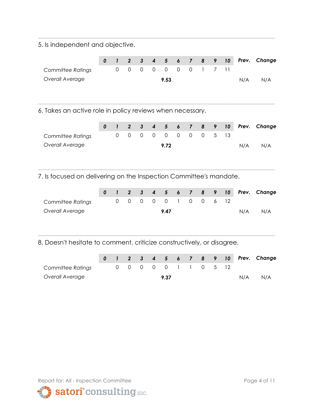5. Is independent and objective.

|                   |  |  |                      |  |  |     | 0 1 2 3 4 5 6 7 8 9 10 Prev. Change |
|-------------------|--|--|----------------------|--|--|-----|-------------------------------------|
| Committee Ratings |  |  | 0 0 0 0 0 0 0 1 7 11 |  |  |     |                                     |
| Overall Average   |  |  | 9.53                 |  |  | N/A | N/A                                 |

**\_\_\_\_\_\_\_\_\_\_\_\_\_\_\_\_\_\_\_\_\_\_\_\_\_\_\_\_\_\_\_\_\_\_\_\_\_\_\_\_\_\_\_\_\_\_\_\_\_\_\_\_\_\_\_\_\_\_\_\_\_\_\_\_\_\_\_\_\_**

**\_\_\_\_\_\_\_\_\_\_\_\_\_\_\_\_\_\_\_\_\_\_\_\_\_\_\_\_\_\_\_\_\_\_\_\_\_\_\_\_\_\_\_\_\_\_\_\_\_\_\_\_\_\_\_\_\_\_\_\_\_\_\_\_\_\_\_\_\_**

6. Takes an active role in policy reviews when necessary.

|                   |  |  |      |  |                      |  |     | 0 1 2 3 4 5 6 7 8 9 10 Prev. Change |
|-------------------|--|--|------|--|----------------------|--|-----|-------------------------------------|
| Committee Ratings |  |  |      |  | 0 0 0 0 0 0 0 0 5 13 |  |     |                                     |
| Overall Average   |  |  | 9.72 |  |                      |  | N/A | N/A                                 |

**\_\_\_\_\_\_\_\_\_\_\_\_\_\_\_\_\_\_\_\_\_\_\_\_\_\_\_\_\_\_\_\_\_\_\_\_\_\_\_\_\_\_\_\_\_\_\_\_\_\_\_\_\_\_\_\_\_\_\_\_\_\_\_\_\_\_\_\_\_**

7. Is focused on delivering on the Inspection Committee's mandate.

|                          |  |  |      |  |                      |  |     | 0 1 2 3 4 5 6 7 8 9 10 Prev. Change |
|--------------------------|--|--|------|--|----------------------|--|-----|-------------------------------------|
| <b>Committee Ratings</b> |  |  |      |  | 0 0 0 0 0 1 0 0 6 12 |  |     |                                     |
| Overall Average          |  |  | 9.47 |  |                      |  | N/A | N/A                                 |

8. Doesn't hesitate to comment, criticize constructively, or disagree.

|                   |  |  |      |  |                      |  |     | 0 1 2 3 4 5 6 7 8 9 10 Prev. Change |
|-------------------|--|--|------|--|----------------------|--|-----|-------------------------------------|
| Committee Ratings |  |  |      |  | 0 0 0 0 0 1 1 0 5 12 |  |     |                                     |
| Overall Average   |  |  | 9.37 |  |                      |  | N/A | N/A                                 |

**\_\_\_\_\_\_\_\_\_\_\_\_\_\_\_\_\_\_\_\_\_\_\_\_\_\_\_\_\_\_\_\_\_\_\_\_\_\_\_\_\_\_\_\_\_\_\_\_\_\_\_\_\_\_\_\_\_\_\_\_\_\_\_\_\_\_\_\_\_**

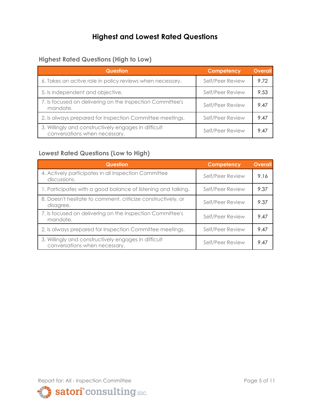# **Highest and Lowest Rated Questions**

#### **Highest Rated Questions (High to Low)**

| <b>Question</b>                                                                       | Competency       | <b>Overall</b> |
|---------------------------------------------------------------------------------------|------------------|----------------|
| 6. Takes an active role in policy reviews when necessary.                             | Self/Peer Review | 9.72           |
| 5. Is independent and objective.                                                      | Self/Peer Review | 9.53           |
| 7. Is focused on delivering on the Inspection Committee's<br>mandate.                 | Self/Peer Review | 9.47           |
| 2. Is always prepared for Inspection Committee meetings.                              | Self/Peer Review | 9.47           |
| 3. Willingly and constructively engages in difficult<br>conversations when necessary. | Self/Peer Review | 9.47           |

#### **Lowest Rated Questions (Low to High)**

| <b>Question</b>                                                                       | Competency       | <b>Overall</b> |
|---------------------------------------------------------------------------------------|------------------|----------------|
| 4. Actively participates in all Inspection Committee<br>discussions.                  | Self/Peer Review | 9.16           |
| 1. Participates with a good balance of listening and talking.                         | Self/Peer Review | 9.37           |
| 8. Doesn't hesitate to comment, criticize constructively, or<br>disagree.             | Self/Peer Review | 9.37           |
| 7. Is focused on delivering on the Inspection Committee's<br>mandate.                 | Self/Peer Review | 9.47           |
| 2. Is always prepared for Inspection Committee meetings.                              | Self/Peer Review | 9.47           |
| 3. Willingly and constructively engages in difficult<br>conversations when necessary. | Self/Peer Review | 9.47           |

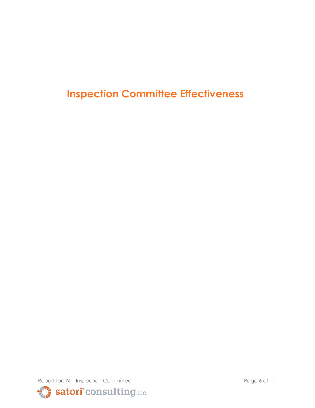**Inspection Committee Effectiveness**

Report for: All - Inspection Committee Page 6 of 11 Satori<sup>°</sup> consulting inc.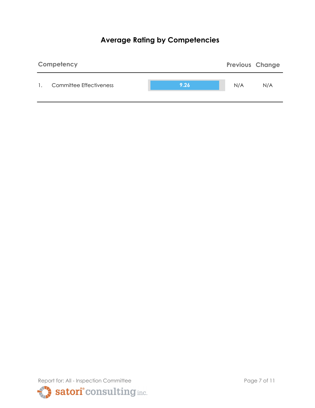# **Average Rating by Competencies**



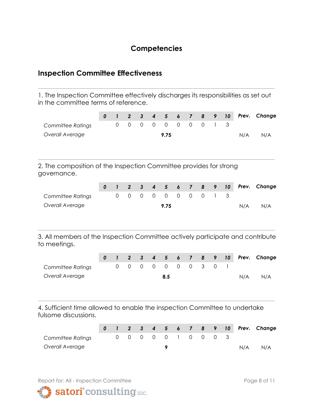## **Competencies**

### **Inspection Committee Effectiveness**

1. The Inspection Committee effectively discharges its responsibilities as set out in the committee terms of reference.

**\_\_\_\_\_\_\_\_\_\_\_\_\_\_\_\_\_\_\_\_\_\_\_\_\_\_\_\_\_\_\_\_\_\_\_\_\_\_\_\_\_\_\_\_\_\_\_\_\_\_\_\_\_\_\_\_\_\_\_\_\_\_\_\_\_\_\_\_\_**

|                                                                                                    | 0 | $\mathbf{I}$ | $\boldsymbol{2}$ | $\mathbf{3}$   | 4                | 5              | $\boldsymbol{6}$ | $\overline{7}$          | 8              | 9              | 10 | Prev. | Change |
|----------------------------------------------------------------------------------------------------|---|--------------|------------------|----------------|------------------|----------------|------------------|-------------------------|----------------|----------------|----|-------|--------|
| <b>Committee Ratings</b>                                                                           |   | $\mathbf 0$  | $\mathbf 0$      | $\overline{0}$ | $\mathbf 0$      | $\mathbf 0$    | $\mathbf 0$      | $\mathbf 0$             | $\mathbf 0$    | 1              | 3  |       |        |
| Overall Average                                                                                    |   |              |                  |                |                  | 9.75           |                  |                         |                |                |    | N/A   | N/A    |
| 2. The composition of the Inspection Committee provides for strong<br>governance.                  |   |              |                  |                |                  |                |                  |                         |                |                |    |       |        |
|                                                                                                    | 0 | $\mathbf{I}$ | $\overline{2}$   | $\mathbf{3}$   | $\boldsymbol{4}$ | $5\phantom{1}$ | $\boldsymbol{6}$ | $\overline{\mathbf{z}}$ | 8              | 9              | 10 | Prev. | Change |
| <b>Committee Ratings</b>                                                                           |   | $\mathbf 0$  | $\mathbf 0$      | $\mathbf 0$    | $\mathbf 0$      | $\overline{0}$ | $\overline{0}$   | $\mathbf 0$             | $\overline{0}$ | 1              | 3  |       |        |
| Overall Average                                                                                    |   |              |                  |                |                  | 9.75           |                  |                         |                |                |    | N/A   | N/A    |
| 3. All members of the Inspection Committee actively participate and contribute<br>to meetings.     |   |              |                  |                |                  |                |                  |                         |                |                |    |       |        |
|                                                                                                    | 0 | $\mathbf{I}$ | $\overline{2}$   | $\mathbf{3}$   | $\boldsymbol{4}$ | 5              | $\boldsymbol{6}$ | $\overline{7}$          | 8              | 9              | 10 | Prev. | Change |
| <b>Committee Ratings</b>                                                                           |   | $\mathbf 0$  | $\mathsf O$      | $\overline{0}$ | $\mathbf 0$      | $\mathbf 0$    | $\overline{0}$   | $\mathbf 0$             | 3              | $\overline{0}$ | 1  |       |        |
| Overall Average                                                                                    |   |              |                  |                |                  | 8.5            |                  |                         |                |                |    | N/A   | N/A    |
| 4. Sufficient time allowed to enable the Inspection Committee to undertake<br>fulsome discussions. |   |              |                  |                |                  |                |                  |                         |                |                |    |       |        |

|                   |  |  |  |  |                     |  |     | 0 1 2 3 4 5 6 7 8 9 10 Prev. Change |
|-------------------|--|--|--|--|---------------------|--|-----|-------------------------------------|
| Committee Ratings |  |  |  |  | 0 0 0 0 0 1 0 0 0 3 |  |     |                                     |
| Overall Average   |  |  |  |  |                     |  | N/A | N/A                                 |



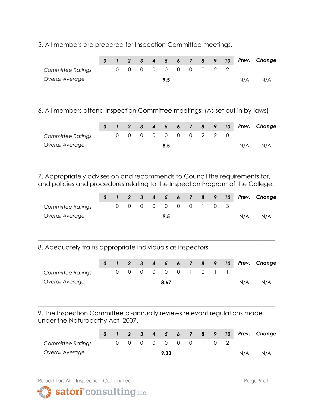5. All members are prepared for Inspection Committee meetings.

|                   |  |  |                     |  |  |     | 0 1 2 3 4 5 6 7 8 9 10 Prev. Change |
|-------------------|--|--|---------------------|--|--|-----|-------------------------------------|
| Committee Ratings |  |  | 0 0 0 0 0 0 0 0 2 2 |  |  |     |                                     |
| Overall Average   |  |  | 9.5                 |  |  | N/A | N/A                                 |
|                   |  |  |                     |  |  |     |                                     |
|                   |  |  |                     |  |  |     |                                     |

**\_\_\_\_\_\_\_\_\_\_\_\_\_\_\_\_\_\_\_\_\_\_\_\_\_\_\_\_\_\_\_\_\_\_\_\_\_\_\_\_\_\_\_\_\_\_\_\_\_\_\_\_\_\_\_\_\_\_\_\_\_\_\_\_\_\_\_\_\_**

6. All members attend Inspection Committee meetings. (As set out in by-laws)

|                   |  |  |                     |  |  |     | 0 1 2 3 4 5 6 7 8 9 10 Prev. Change |
|-------------------|--|--|---------------------|--|--|-----|-------------------------------------|
| Committee Ratings |  |  | 0 0 0 0 0 0 0 2 2 0 |  |  |     |                                     |
| Overall Average   |  |  | 8.5                 |  |  | N/A | N/A                                 |

7. Appropriately advises on and recommends to Council the requirements for, and policies and procedures relating to the Inspection Program of the College.

**\_\_\_\_\_\_\_\_\_\_\_\_\_\_\_\_\_\_\_\_\_\_\_\_\_\_\_\_\_\_\_\_\_\_\_\_\_\_\_\_\_\_\_\_\_\_\_\_\_\_\_\_\_\_\_\_\_\_\_\_\_\_\_\_\_\_\_\_\_**

|                   |  |  |                     |  |  |     | 0 1 2 3 4 5 6 7 8 9 10 Prev. Change |
|-------------------|--|--|---------------------|--|--|-----|-------------------------------------|
| Committee Ratings |  |  | 0 0 0 0 0 0 0 1 0 3 |  |  |     |                                     |
| Overall Average   |  |  | 9.5                 |  |  | N/A | N/A                                 |

**\_\_\_\_\_\_\_\_\_\_\_\_\_\_\_\_\_\_\_\_\_\_\_\_\_\_\_\_\_\_\_\_\_\_\_\_\_\_\_\_\_\_\_\_\_\_\_\_\_\_\_\_\_\_\_\_\_\_\_\_\_\_\_\_\_\_\_\_\_**

8. Adequately trains appropriate individuals as inspectors.

|                   |  |  |      |  |                     |  |     | 0 1 2 3 4 5 6 7 8 9 10 Prev. Change |
|-------------------|--|--|------|--|---------------------|--|-----|-------------------------------------|
| Committee Ratings |  |  |      |  | 0 0 0 0 0 0 1 0 1 1 |  |     |                                     |
| Overall Average   |  |  | 8.67 |  |                     |  | N/A | N/A                                 |

9. The Inspection Committee bi-annually reviews relevant regulations made under the Naturopathy Act, 2007.

**\_\_\_\_\_\_\_\_\_\_\_\_\_\_\_\_\_\_\_\_\_\_\_\_\_\_\_\_\_\_\_\_\_\_\_\_\_\_\_\_\_\_\_\_\_\_\_\_\_\_\_\_\_\_\_\_\_\_\_\_\_\_\_\_\_\_\_\_\_**

|                   |  |  |      |                     |  |     | 0 1 2 3 4 5 6 7 8 9 10 Prev. Change |
|-------------------|--|--|------|---------------------|--|-----|-------------------------------------|
| Committee Ratings |  |  |      | 0 0 0 0 0 0 0 1 0 2 |  |     |                                     |
| Overall Average   |  |  | 9.33 |                     |  | N/A | N/A                                 |

Report for: All - Inspection Committee **Page 9 of 11** Page 9 of 11



satori<sup>°</sup> consulting inc.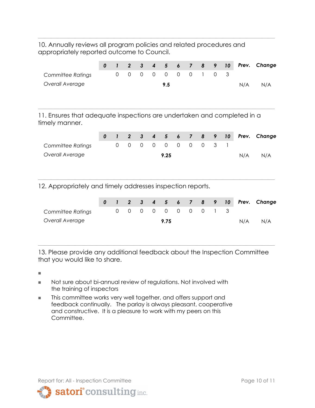10. Annually reviews all program policies and related procedures and appropriately reported outcome to Council.

**\_\_\_\_\_\_\_\_\_\_\_\_\_\_\_\_\_\_\_\_\_\_\_\_\_\_\_\_\_\_\_\_\_\_\_\_\_\_\_\_\_\_\_\_\_\_\_\_\_\_\_\_\_\_\_\_\_\_\_\_\_\_\_\_\_\_\_\_\_**

|                                                                                           | 0 | $\mathbf{I}$ | $\overline{2}$      | $\mathbf{3}$ | 4                | 5              | 6              | $\overline{7}$ | 8              | 9              | 10 | Prev. | Change |
|-------------------------------------------------------------------------------------------|---|--------------|---------------------|--------------|------------------|----------------|----------------|----------------|----------------|----------------|----|-------|--------|
| <b>Committee Ratings</b>                                                                  |   | $\mathbf 0$  | $\mathsf{O}\xspace$ | $\mathbf 0$  | $\overline{0}$   | $\overline{0}$ | $\overline{0}$ | $\overline{0}$ | 1              | $\overline{0}$ | 3  |       |        |
| Overall Average                                                                           |   |              |                     |              |                  | 9.5            |                |                |                |                |    | N/A   | N/A    |
| 11. Ensures that adequate inspections are undertaken and completed in a<br>timely manner. |   |              |                     |              |                  |                |                |                |                |                |    |       |        |
|                                                                                           | 0 | $\mathbf{I}$ | $\boldsymbol{2}$    | $\mathbf{3}$ | $\boldsymbol{4}$ | 5              | 6              | $\overline{7}$ | 8              | 9              | 10 | Prev. | Change |
| <b>Committee Ratings</b>                                                                  |   | $\mathbf 0$  | $\mathbf 0$         | $\mathbf 0$  | $\Omega$         | $\Omega$       | $\overline{0}$ | $\mathbf 0$    | $\overline{0}$ | 3              |    |       |        |
| Overall Average                                                                           |   |              |                     |              |                  | 9.25           |                |                |                |                |    | N/A   | N/A    |
| 12. Appropriately and timely addresses inspection reports.                                |   |              |                     |              |                  |                |                |                |                |                |    |       |        |
|                                                                                           | 0 | $\mathbf{I}$ | $\overline{2}$      | $\mathbf{3}$ | $\boldsymbol{4}$ | 5              | 6              | $\overline{7}$ | 8              | 9              | 10 | Prev. | Change |
| <b>Committee Ratings</b>                                                                  |   | $\Omega$     | $\mathbf 0$         | $\Omega$     | $\Omega$         | $\Omega$       | $\mathbf 0$    | $\Omega$       | $\overline{O}$ |                | 3  |       |        |
| Overall Average                                                                           |   |              |                     |              |                  | 9.75           |                |                |                |                |    | N/A   | N/A    |

13. Please provide any additional feedback about the Inspection Committee that you would like to share.

**\_\_\_\_\_\_\_\_\_\_\_\_\_\_\_\_\_\_\_\_\_\_\_\_\_\_\_\_\_\_\_\_\_\_\_\_\_\_\_\_\_\_\_\_\_\_\_\_\_\_\_\_\_\_\_\_\_\_\_\_\_\_\_\_\_\_\_\_\_**

**■**

- Not sure about bi-annual review of regulations. Not involved with the training of inspectors
- **■** This committee works very well together, and offers support and feedback continually. The parlay is always pleasant, cooperative and constructive. It is a pleasure to work with my peers on this Committee.